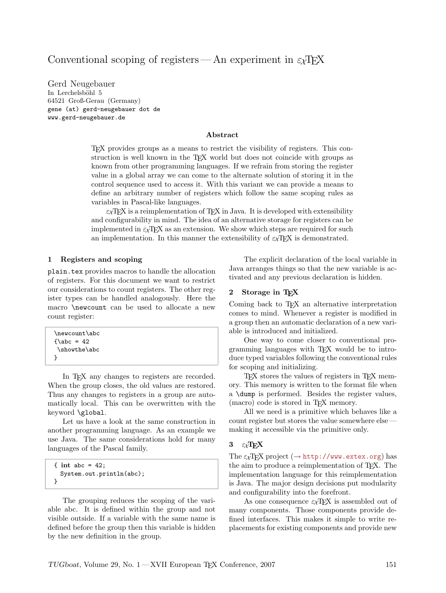# Conventional scoping of registers—An experiment in  $\epsilon_{\chi}T_{F}X$

Gerd Neugebauer In Lerchelsböhl 5 64521 Groß-Gerau (Germany) gene (at) gerd-neugebauer dot de www.gerd-neugebauer.de

#### Abstract

TEX provides groups as a means to restrict the visibility of registers. This construction is well known in the TEX world but does not coincide with groups as known from other programming languages. If we refrain from storing the register value in a global array we can come to the alternate solution of storing it in the control sequence used to access it. With this variant we can provide a means to define an arbitrary number of registers which follow the same scoping rules as variables in Pascal-like languages.

 $\varepsilon_X$ TFX is a reimplementation of TFX in Java. It is developed with extensibility and configurability in mind. The idea of an alternative storage for registers can be implemented in  $\varepsilon_{\chi}$ T<sub>E</sub>X as an extension. We show which steps are required for such an implementation. In this manner the extensibility of  $\varepsilon_{\chi}T_{F}X$  is demonstrated.

#### 1 Registers and scoping

plain.tex provides macros to handle the allocation of registers. For this document we want to restrict our considerations to count registers. The other register types can be handled analogously. Here the macro \newcount can be used to allocate a new count register:

| \newcount\abc  |  |  |
|----------------|--|--|
| $\lambda$ = 42 |  |  |
| \showthe\abc   |  |  |
|                |  |  |

In T<sub>E</sub>X any changes to registers are recorded. When the group closes, the old values are restored. Thus any changes to registers in a group are automatically local. This can be overwritten with the keyword \global.

Let us have a look at the same construction in another programming language. As an example we use Java. The same considerations hold for many languages of the Pascal family.

```
\{ int abc = 42;
 System.out.println(abc);
}
```
The grouping reduces the scoping of the variable abc. It is defined within the group and not visible outside. If a variable with the same name is defined before the group then this variable is hidden by the new definition in the group.

The explicit declaration of the local variable in Java arranges things so that the new variable is activated and any previous declaration is hidden.

#### 2 Storage in TEX

Coming back to T<sub>E</sub>X an alternative interpretation comes to mind. Whenever a register is modified in a group then an automatic declaration of a new variable is introduced and initialized.

One way to come closer to conventional programming languages with TEX would be to introduce typed variables following the conventional rules for scoping and initializing.

TEX stores the values of registers in TEX memory. This memory is written to the format file when a \dump is performed. Besides the register values, (macro) code is stored in T<sub>EX</sub> memory.

All we need is a primitive which behaves like a count register but stores the value somewhere else making it accessible via the primitive only.

#### 3  $\varepsilon_X$ TEX

The  $\varepsilon_X$ TEX project ( $\rightarrow$  <http://www.extex.org>) has the aim to produce a reimplementation of TEX. The implementation language for this reimplementation is Java. The major design decisions put modularity and configurability into the forefront.

As one consequence  $\varepsilon_{\mathcal{X}}$ T<sub>E</sub>X is assembled out of many components. Those components provide defined interfaces. This makes it simple to write replacements for existing components and provide new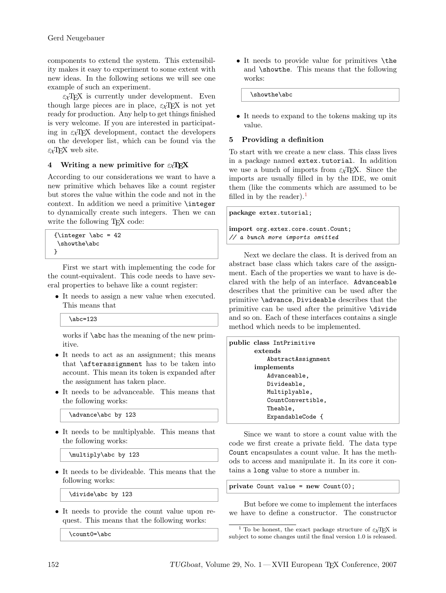components to extend the system. This extensibility makes it easy to experiment to some extent with new ideas. In the following setions we will see one example of such an experiment.

 $\varepsilon_{\chi}$ T<sub>F</sub>X is currently under development. Even though large pieces are in place,  $\varepsilon_{X}T_{E}X$  is not yet ready for production. Any help to get things finished is very welcome. If you are interested in participating in  $\epsilon_X$ TFX development, contact the developers on the developer list, which can be found via the  $\epsilon_X$ TFX web site.

### 4 Writing a new primitive for  $\epsilon_{\chi}T_{E}X$

According to our considerations we want to have a new primitive which behaves like a count register but stores the value within the code and not in the context. In addition we need a primitive \integer to dynamically create such integers. Then we can write the following T<sub>E</sub>X code:

```
{\intercal \abc = 42}\showthe\abc
}
```
First we start with implementing the code for the count-equivalent. This code needs to have several properties to behave like a count register:

• It needs to assign a new value when executed. This means that

\abc=123

works if **\abc** has the meaning of the new primitive.

- It needs to act as an assignment; this means that \afterassignment has to be taken into account. This mean its token is expanded after the assignment has taken place.
- It needs to be advanceable. This means that the following works:

\advance\abc by 123

• It needs to be multiplyable. This means that the following works:

\multiply\abc by 123

• It needs to be divideable. This means that the following works:

\divide\abc by 123

• It needs to provide the count value upon request. This means that the following works:

\count0=\abc

• It needs to provide value for primitives \the and \showthe. This means that the following works:

\showthe\abc

• It needs to expand to the tokens making up its value.

#### 5 Providing a definition

To start with we create a new class. This class lives in a package named extex.tutorial. In addition we use a bunch of imports from  $\epsilon_{\chi}T_{F}X$ . Since the imports are usually filled in by the IDE, we omit them (like the comments which are assumed to be filled in by the reader).<sup>[1](#page-1-0)</sup>

package extex.tutorial;

import org.extex.core.count.Count; // a bunch more imports omitted

Next we declare the class. It is derived from an abstract base class which takes care of the assignment. Each of the properties we want to have is declared with the help of an interface. Advanceable describes that the primitive can be used after the primitive \advance, Divideable describes that the primitive can be used after the primitive \divide and so on. Each of these interfaces contains a single method which needs to be implemented.

| public class IntPrimitive |
|---------------------------|
| extends                   |
| AbstractAssignment        |
| implements                |
| Advanceable,              |
| Divideable,               |
| Multiplyable,             |
| CountConvertible,         |
| Theable,                  |
| ExpandableCode {          |
|                           |

Since we want to store a count value with the code we first create a private field. The data type Count encapsulates a count value. It has the methods to access and manipulate it. In its core it contains a long value to store a number in.

private Count value = new Count(0);

But before we come to implement the interfaces we have to define a constructor. The constructor

<span id="page-1-0"></span><sup>&</sup>lt;sup>1</sup> To be honest, the exact package structure of  $\varepsilon_{\chi}$ TFX is subject to some changes until the final version 1.0 is released.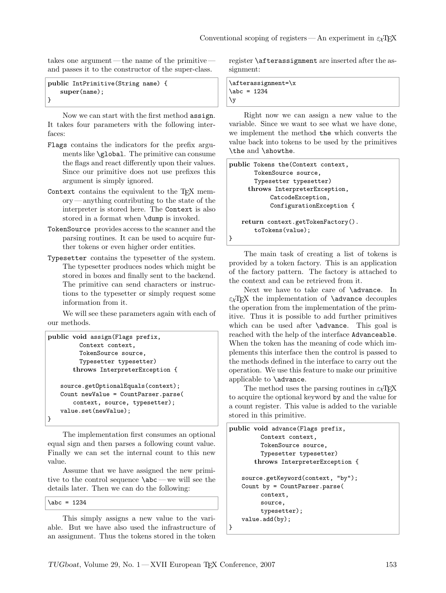takes one argument — the name of the primitive and passes it to the constructor of the super-class.

```
public IntPrimitive(String name) {
   super(name);
}
```
Now we can start with the first method assign. It takes four parameters with the following interfaces:

- Flags contains the indicators for the prefix arguments like \global. The primitive can consume the flags and react differently upon their values. Since our primitive does not use prefixes this argument is simply ignored.
- Context contains the equivalent to the T<sub>E</sub>X memory — anything contributing to the state of the interpreter is stored here. The Context is also stored in a format when \dump is invoked.
- TokenSource provides access to the scanner and the parsing routines. It can be used to acquire further tokens or even higher order entities.
- Typesetter contains the typesetter of the system. The typesetter produces nodes which might be stored in boxes and finally sent to the backend. The primitive can send characters or instructions to the typesetter or simply request some information from it.

We will see these parameters again with each of our methods.

```
public void assign(Flags prefix,
        Context context,
        TokenSource source,
        Typesetter typesetter)
       throws InterpreterException {
   source.getOptionalEquals(context);
   Count newValue = CountParser.parse(
       context, source, typesetter);
   value.set(newValue);
}
```
The implementation first consumes an optional equal sign and then parses a following count value. Finally we can set the internal count to this new value.

Assume that we have assigned the new primitive to the control sequence \abc — we will see the details later. Then we can do the following:

 $\backslash abc = 1234$ 

This simply assigns a new value to the variable. But we have also used the infrastructure of an assignment. Thus the tokens stored in the token

register \afterassignment are inserted after the assignment:

```
\afterassignment=\x
\backslash abc = 1234\y
```
Right now we can assign a new value to the variable. Since we want to see what we have done, we implement the method the which converts the value back into tokens to be used by the primitives \the and \showthe.

```
public Tokens the(Context context,
       TokenSource source,
       Typesetter typesetter)
     throws InterpreterException,
           CatcodeException,
           ConfigurationException {
   return context.getTokenFactory().
       toTokens(value);
}
```
The main task of creating a list of tokens is provided by a token factory. This is an application of the factory pattern. The factory is attached to the context and can be retrieved from it.

Next we have to take care of **\advance**. In  $\epsilon_X$ T<sub>EX</sub> the implementation of **\advance** decouples the operation from the implementation of the primitive. Thus it is possible to add further primitives which can be used after **\advance**. This goal is reached with the help of the interface Advanceable. When the token has the meaning of code which implements this interface then the control is passed to the methods defined in the interface to carry out the operation. We use this feature to make our primitive applicable to \advance.

The method uses the parsing routines in  $\varepsilon_\mathcal{X}\mathrm{T}\mathrm{E}\mathrm{X}$ to acquire the optional keyword by and the value for a count register. This value is added to the variable stored in this primitive.

```
public void advance(Flags prefix,
         Context context,
         TokenSource source,
         Typesetter typesetter)
       throws InterpreterException {
   source.getKeyword(context, "by");
   Count by = CountParser.parse(
         context,
         source,
         typesetter);
   value.add(by);
}
```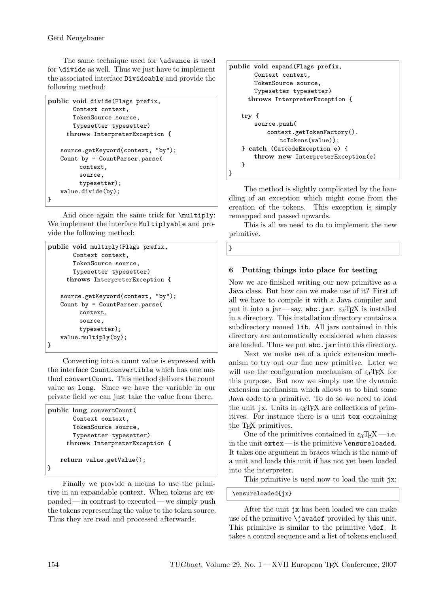The same technique used for **\advance** is used for \divide as well. Thus we just have to implement the associated interface Divideable and provide the following method:

```
public void divide(Flags prefix,
       Context context,
       TokenSource source,
       Typesetter typesetter)
     throws InterpreterException {
   source.getKeyword(context, "by");
   Count by = CountParser.parse(
         context,
         source,
         typesetter);
   value.divide(by);
}
```
And once again the same trick for \multiply: We implement the interface Multiplyable and provide the following method:

```
public void multiply(Flags prefix,
       Context context,
       TokenSource source,
       Typesetter typesetter)
     throws InterpreterException {
   source.getKeyword(context, "by");
   Count by = CountParser.parse(
         context,
         source,
         typesetter);
   value.multiply(by);
}
```
Converting into a count value is expressed with the interface Countconvertible which has one method convertCount. This method delivers the count value as long. Since we have the variable in our private field we can just take the value from there.

```
public long convertCount(
       Context context,
       TokenSource source,
       Typesetter typesetter)
     throws InterpreterException {
   return value.getValue();
}
```
Finally we provide a means to use the primitive in an expandable context. When tokens are expanded — in contrast to executed — we simply push the tokens representing the value to the token source. Thus they are read and processed afterwards.

```
public void expand(Flags prefix,
       Context context,
       TokenSource source,
       Typesetter typesetter)
     throws InterpreterException {
   try {
       source.push(
          context.getTokenFactory().
              toTokens(value));
   } catch (CatcodeException e) {
       throw new InterpreterException(e)
   }
}
```
The method is slightly complicated by the handling of an exception which might come from the creation of the tokens. This exception is simply remapped and passed upwards.

This is all we need to do to implement the new primitive.

```
}
```
# 6 Putting things into place for testing

Now we are finished writing our new primitive as a Java class. But how can we make use of it? First of all we have to compile it with a Java compiler and put it into a jar—say, abc.jar.  $\varepsilon_{X}T_{E}X$  is installed in a directory. This installation directory contains a subdirectory named lib. All jars contained in this directory are automatically considered when classes are loaded. Thus we put abc.jar into this directory.

Next we make use of a quick extension mechanism to try out our fine new primitive. Later we will use the configuration mechanism of  $\varepsilon_X$ TEX for this purpose. But now we simply use the dynamic extension mechanism which allows us to bind some Java code to a primitive. To do so we need to load the unit jx. Units in  $\epsilon \chi T$ FX are collections of primitives. For instance there is a unit tex containing the TEX primitives.

One of the primitives contained in  $\varepsilon_{\chi}T_{\rm F}X$  — i.e. in the unit extex— is the primitive \ensureloaded. It takes one argument in braces which is the name of a unit and loads this unit if has not yet been loaded into the interpreter.

This primitive is used now to load the unit jx:

\ensureloaded{jx}

After the unit jx has been loaded we can make use of the primitive \javadef provided by this unit. This primitive is similar to the primitive \def. It takes a control sequence and a list of tokens enclosed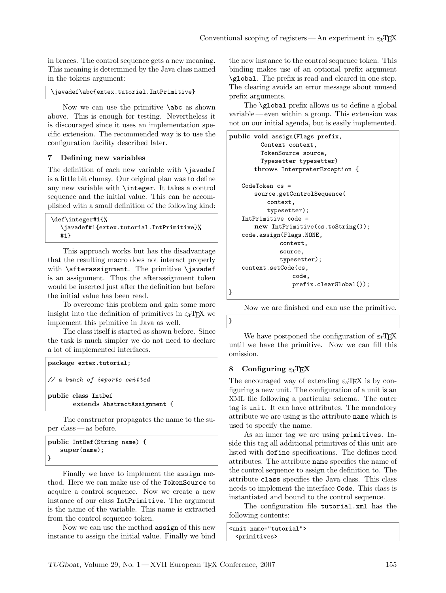in braces. The control sequence gets a new meaning. This meaning is determined by the Java class named in the tokens argument:

\javadef\abc{extex.tutorial.IntPrimitive}

Now we can use the primitive \abc as shown above. This is enough for testing. Nevertheless it is discouraged since it uses an implementation specific extension. The recommended way is to use the configuration facility described later.

#### 7 Defining new variables

The definition of each new variable with **\javadef** is a little bit clumsy. Our original plan was to define any new variable with \integer. It takes a control sequence and the initial value. This can be accomplished with a small definition of the following kind:

```
\def\integer#1{%
  \javadef#1{extex.tutorial.IntPrimitive}%
  #1}
```
This approach works but has the disadvantage that the resulting macro does not interact properly with \afterassignment. The primitive \javadef is an assignment. Thus the afterassignment token would be inserted just after the definition but before the initial value has been read.

To overcome this problem and gain some more insight into the definition of primitives in  $\epsilon \chi TFX$  we implement this primitive in Java as well.

The class itself is started as shown before. Since the task is much simpler we do not need to declare a lot of implemented interfaces.

```
package extex.tutorial;
// a bunch of imports omitted
public class IntDef
       extends AbstractAssignment {
```
The constructor propagates the name to the super class — as before.

```
public IntDef(String name) {
   super(name);
}
```
Finally we have to implement the assign method. Here we can make use of the TokenSource to acquire a control sequence. Now we create a new instance of our class IntPrimitive. The argument is the name of the variable. This name is extracted from the control sequence token.

Now we can use the method assign of this new instance to assign the initial value. Finally we bind the new instance to the control sequence token. This binding makes use of an optional prefix argument \global. The prefix is read and cleared in one step. The clearing avoids an error message about unused prefix arguments.

The \global prefix allows us to define a global variable — even within a group. This extension was not on our initial agenda, but is easily implemented.

```
public void assign(Flags prefix,
         Context context,
         TokenSource source,
         Typesetter typesetter)
       throws InterpreterException {
   CodeToken cs =
       source.getControlSequence(
           context,
           typesetter);
   IntPrimitive code =
       new IntPrimitive(cs.toString());
   code.assign(Flags.NONE,
              context,
              source,
              typesetter);
   context.setCode(cs,
                  code,
                  prefix.clearGlobal());
}
```
Now we are finished and can use the primitive.

We have postponed the configuration of  $\epsilon_X$ T<sub>F</sub>X until we have the primitive. Now we can fill this omission.

### 8 Configuring  $\varepsilon_{\chi}T_{\text{F}}X$

}

The encouraged way of extending  $\varepsilon_{\chi}T_{F}X$  is by configuring a new unit. The configuration of a unit is an XML file following a particular schema. The outer tag is unit. It can have attributes. The mandatory attribute we are using is the attribute name which is used to specify the name.

As an inner tag we are using primitives. Inside this tag all additional primitives of this unit are listed with define specifications. The defines need attributes. The attribute name specifies the name of the control sequence to assign the definition to. The attribute class specifies the Java class. This class needs to implement the interface Code. This class is instantiated and bound to the control sequence.

The configuration file tutorial.xml has the following contents:

```
<unit name="tutorial">
 <primitives>
```